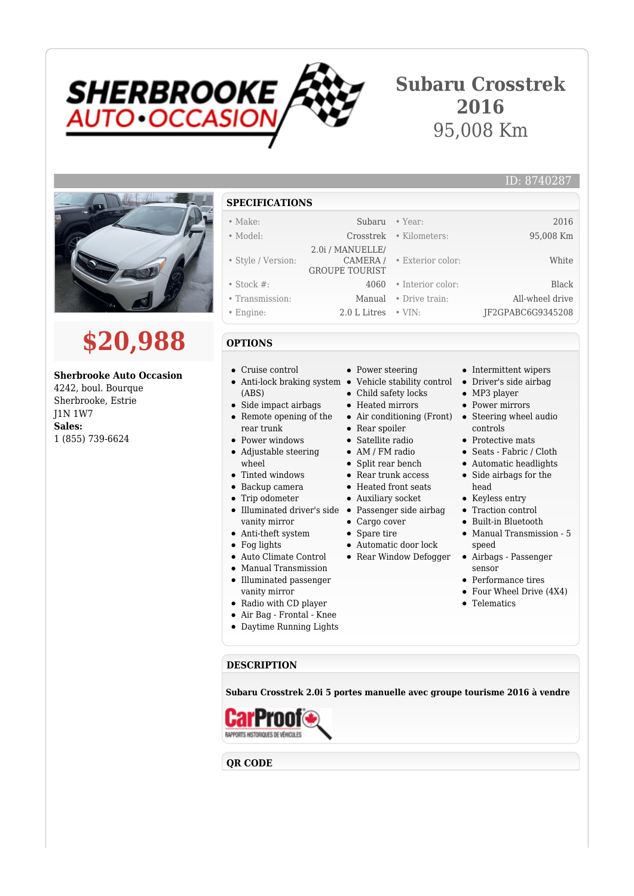

## **Subaru Crosstrek 2016** 95,008 Km



# **\$20,988**

#### **Sherbrooke Auto Occasion**

4242, boul. Bourque Sherbrooke, Estrie J1N 1W7 **Sales:** 1 (855) 739-6624

#### **SPECIFICATIONS**

#### • Make: Subaru • Year: 2016 • Model: Crosstrek • Kilometers: 95,008 Km • Style / Version: 2.0i / MANUELLE/ CAMERA / GROUPE TOURIST • Exterior color: White • Stock #: 4060 • Interior color: Black • Transmission: Manual • Drive train: All-wheel drive • Engine: 2.0 L Litres • VIN: JF2GPABC6G9345208

### **OPTIONS**

- Cruise control
- (ABS)
- $\bullet$ Side impact airbags • Remote opening of the
- rear trunk • Power windows
- Adjustable steering wheel
- 
- Tinted windows
- Backup camera
- Trip odometer
- vanity mirror
- Anti-theft system
- Fog lights
- Auto Climate Control
- Manual Transmission  $\bullet$ Illuminated passenger vanity mirror
- Radio with CD player
- 
- Air Bag Frontal Knee
- Daytime Running Lights

#### • Power steering

- Anti-lock braking system Vehicle stability control
	- Child safety locks
	- Heated mirrors
	-
	- Rear spoiler
	- Satellite radio
	- AM / FM radio
	- Split rear bench
	- Rear trunk access
	- Heated front seats
	- Auxiliary socket
- Illuminated driver's side Passenger side airbag
	-
	- Automatic door lock
	-

• Intermittent wipers

ID: 8740287

- Driver's side airbag
- MP3 player
- Power mirrors
- Air conditioning (Front) Steering wheel audio controls
	- Protective mats
	- Seats Fabric / Cloth
	- Automatic headlights
	- Side airbags for the head
	- Keyless entry
	- Traction control
	- Built-in Bluetooth
	- Manual Transmission 5 speed
	- Airbags Passenger sensor
	- Performance tires
	- Four Wheel Drive (4X4)
	- Telematics

**DESCRIPTION**

**Subaru Crosstrek 2.0i 5 portes manuelle avec groupe tourisme 2016 à vendre**



**QR CODE**

- -
- 
- 
- 
- 
- 
- Cargo cover
- 
- 
- 
- 
- 
- 
- 
- 
- 
- -
- 
- 
- 
- 
- 
- 
- 
- 
- 
- 
- Spare tire
- 
- Rear Window Defogger
-